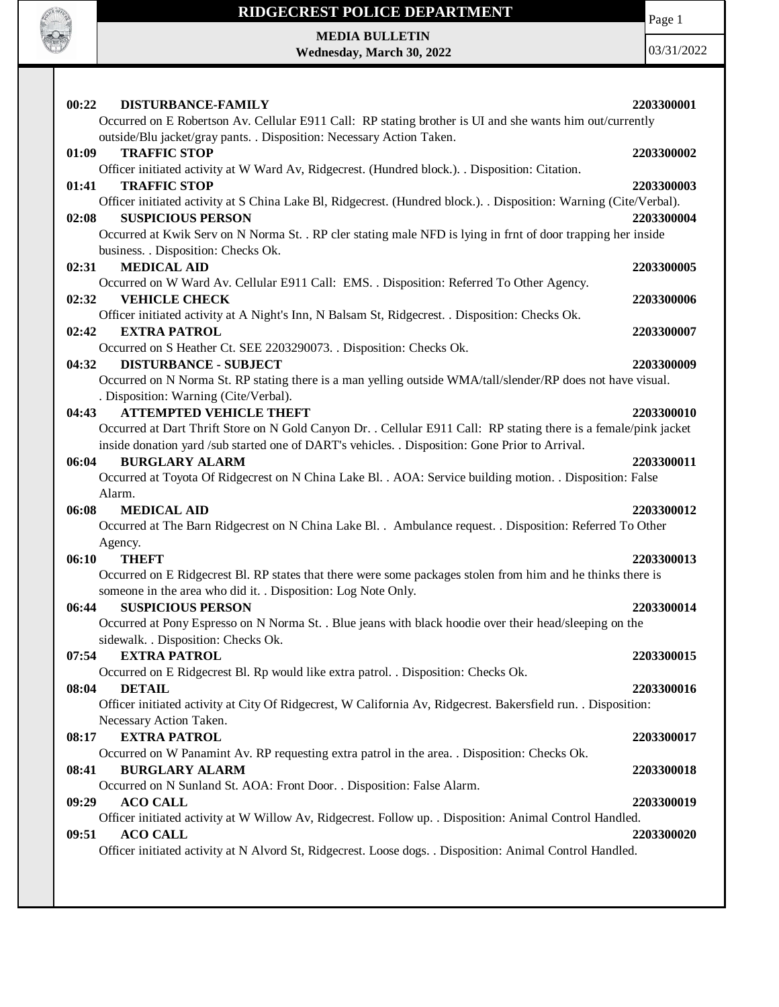

Page 1

**MEDIA BULLETIN Wednesday, March 30, 2022**

| 00:22<br><b>DISTURBANCE-FAMILY</b>                                                                                 | 2203300001 |
|--------------------------------------------------------------------------------------------------------------------|------------|
| Occurred on E Robertson Av. Cellular E911 Call: RP stating brother is UI and she wants him out/currently           |            |
| outside/Blu jacket/gray pants. . Disposition: Necessary Action Taken.                                              |            |
| <b>TRAFFIC STOP</b><br>01:09                                                                                       | 2203300002 |
| Officer initiated activity at W Ward Av, Ridgecrest. (Hundred block.). . Disposition: Citation.                    |            |
| <b>TRAFFIC STOP</b><br>01:41                                                                                       | 2203300003 |
| Officer initiated activity at S China Lake Bl, Ridgecrest. (Hundred block.). . Disposition: Warning (Cite/Verbal). |            |
| <b>SUSPICIOUS PERSON</b><br>02:08                                                                                  | 2203300004 |
| Occurred at Kwik Serv on N Norma St. . RP cler stating male NFD is lying in frnt of door trapping her inside       |            |
| business. . Disposition: Checks Ok.                                                                                |            |
| <b>MEDICAL AID</b><br>02:31                                                                                        | 2203300005 |
| Occurred on W Ward Av. Cellular E911 Call: EMS. . Disposition: Referred To Other Agency.                           |            |
| 02:32<br><b>VEHICLE CHECK</b>                                                                                      | 2203300006 |
| Officer initiated activity at A Night's Inn, N Balsam St, Ridgecrest. . Disposition: Checks Ok.                    |            |
| 02:42<br><b>EXTRA PATROL</b>                                                                                       | 2203300007 |
| Occurred on S Heather Ct. SEE 2203290073. . Disposition: Checks Ok.                                                |            |
| 04:32<br><b>DISTURBANCE - SUBJECT</b>                                                                              | 2203300009 |
| Occurred on N Norma St. RP stating there is a man yelling outside WMA/tall/slender/RP does not have visual.        |            |
| . Disposition: Warning (Cite/Verbal).                                                                              |            |
| <b>ATTEMPTED VEHICLE THEFT</b><br>04:43                                                                            | 2203300010 |
| Occurred at Dart Thrift Store on N Gold Canyon Dr. . Cellular E911 Call: RP stating there is a female/pink jacket  |            |
| inside donation yard /sub started one of DART's vehicles. . Disposition: Gone Prior to Arrival.                    |            |
| <b>BURGLARY ALARM</b><br>06:04                                                                                     | 2203300011 |
| Occurred at Toyota Of Ridgecrest on N China Lake Bl. . AOA: Service building motion. . Disposition: False          |            |
| Alarm.                                                                                                             |            |
| <b>MEDICAL AID</b><br>06:08                                                                                        |            |
|                                                                                                                    | 2203300012 |
| Occurred at The Barn Ridgecrest on N China Lake Bl. . Ambulance request. . Disposition: Referred To Other          |            |
| Agency.                                                                                                            |            |
| 06:10<br><b>THEFT</b>                                                                                              | 2203300013 |
|                                                                                                                    |            |
| Occurred on E Ridgecrest Bl. RP states that there were some packages stolen from him and he thinks there is        |            |
| someone in the area who did it. . Disposition: Log Note Only.                                                      |            |
| 06:44<br><b>SUSPICIOUS PERSON</b>                                                                                  | 2203300014 |
| Occurred at Pony Espresso on N Norma St. . Blue jeans with black hoodie over their head/sleeping on the            |            |
| sidewalk. . Disposition: Checks Ok.                                                                                |            |
| 07:54 EXTRA PATROL                                                                                                 | 2203300015 |
| Occurred on E Ridgecrest Bl. Rp would like extra patrol. . Disposition: Checks Ok.                                 |            |
| 08:04<br><b>DETAIL</b>                                                                                             | 2203300016 |
| Officer initiated activity at City Of Ridgecrest, W California Av, Ridgecrest. Bakersfield run. . Disposition:     |            |
| Necessary Action Taken.                                                                                            |            |
| <b>EXTRA PATROL</b><br>08:17                                                                                       | 2203300017 |
| Occurred on W Panamint Av. RP requesting extra patrol in the area. . Disposition: Checks Ok.                       |            |
| <b>BURGLARY ALARM</b><br>08:41                                                                                     | 2203300018 |
| Occurred on N Sunland St. AOA: Front Door. . Disposition: False Alarm.                                             |            |
| <b>ACO CALL</b><br>09:29                                                                                           | 2203300019 |
| Officer initiated activity at W Willow Av, Ridgecrest. Follow up. . Disposition: Animal Control Handled.           |            |
| <b>ACO CALL</b><br>09:51                                                                                           | 2203300020 |
| Officer initiated activity at N Alvord St, Ridgecrest. Loose dogs. . Disposition: Animal Control Handled.          |            |
|                                                                                                                    |            |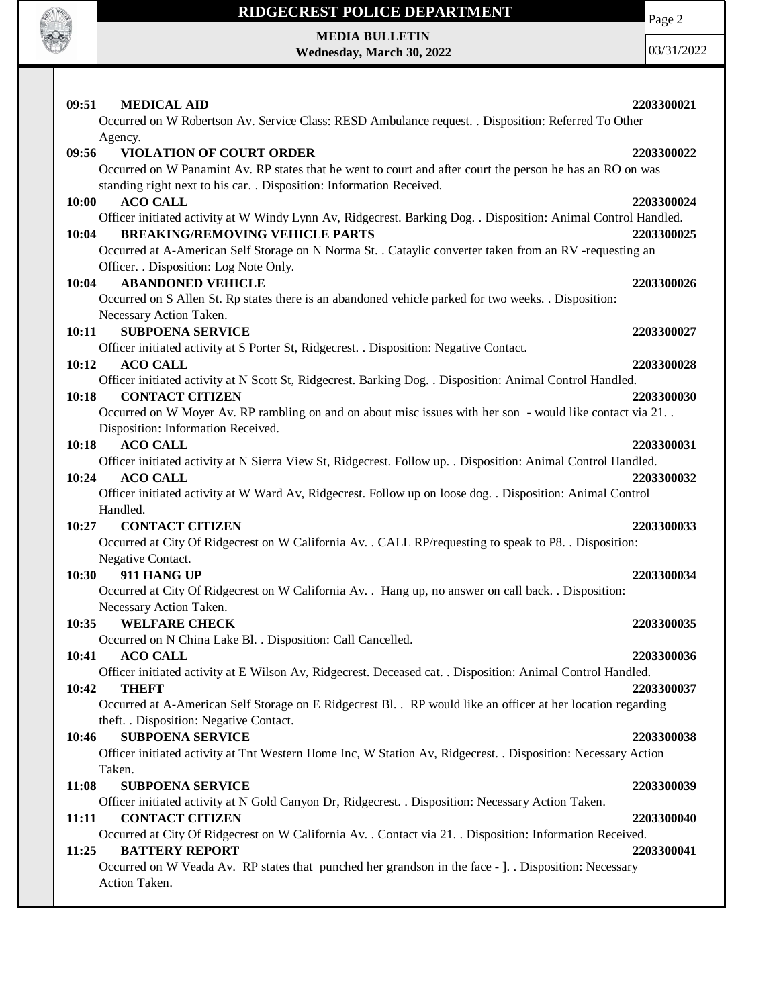

Page 2

**MEDIA BULLETIN Wednesday, March 30, 2022**

| 09:51<br><b>MEDICAL AID</b>                                                                                                                       | 2203300021 |
|---------------------------------------------------------------------------------------------------------------------------------------------------|------------|
| Occurred on W Robertson Av. Service Class: RESD Ambulance request. . Disposition: Referred To Other                                               |            |
| Agency.                                                                                                                                           |            |
| <b>VIOLATION OF COURT ORDER</b><br>09:56                                                                                                          | 2203300022 |
| Occurred on W Panamint Av. RP states that he went to court and after court the person he has an RO on was                                         |            |
| standing right next to his car. . Disposition: Information Received.                                                                              |            |
| <b>ACO CALL</b><br>10:00                                                                                                                          | 2203300024 |
| Officer initiated activity at W Windy Lynn Av, Ridgecrest. Barking Dog. . Disposition: Animal Control Handled.                                    |            |
| <b>BREAKING/REMOVING VEHICLE PARTS</b><br>10:04                                                                                                   | 2203300025 |
| Occurred at A-American Self Storage on N Norma St. . Cataylic converter taken from an RV -requesting an<br>Officer. . Disposition: Log Note Only. |            |
| 10:04<br><b>ABANDONED VEHICLE</b>                                                                                                                 | 2203300026 |
| Occurred on S Allen St. Rp states there is an abandoned vehicle parked for two weeks. . Disposition:                                              |            |
| Necessary Action Taken.                                                                                                                           |            |
| 10:11<br><b>SUBPOENA SERVICE</b>                                                                                                                  | 2203300027 |
| Officer initiated activity at S Porter St, Ridgecrest. . Disposition: Negative Contact.                                                           |            |
| <b>ACO CALL</b><br>10:12                                                                                                                          | 2203300028 |
| Officer initiated activity at N Scott St, Ridgecrest. Barking Dog. . Disposition: Animal Control Handled.                                         |            |
| <b>CONTACT CITIZEN</b><br>10:18                                                                                                                   | 2203300030 |
| Occurred on W Moyer Av. RP rambling on and on about misc issues with her son - would like contact via 21                                          |            |
| Disposition: Information Received.                                                                                                                |            |
| <b>ACO CALL</b><br>10:18                                                                                                                          | 2203300031 |
| Officer initiated activity at N Sierra View St, Ridgecrest. Follow up. . Disposition: Animal Control Handled.                                     |            |
| 10:24<br><b>ACO CALL</b>                                                                                                                          | 2203300032 |
| Officer initiated activity at W Ward Av, Ridgecrest. Follow up on loose dog. . Disposition: Animal Control                                        |            |
| Handled.                                                                                                                                          |            |
| 10:27<br><b>CONTACT CITIZEN</b>                                                                                                                   | 2203300033 |
| Occurred at City Of Ridgecrest on W California Av. . CALL RP/requesting to speak to P8. . Disposition:                                            |            |
| Negative Contact.                                                                                                                                 |            |
| 10:30<br>911 HANG UP                                                                                                                              | 2203300034 |
| Occurred at City Of Ridgecrest on W California Av. . Hang up, no answer on call back. . Disposition:                                              |            |
| Necessary Action Taken.                                                                                                                           |            |
| <b>WELFARE CHECK</b><br>10:35<br>Occurred on N China Lake Bl. . Disposition: Call Cancelled.                                                      | 2203300035 |
|                                                                                                                                                   | 2203300036 |
| 10:41<br><b>ACO CALL</b><br>Officer initiated activity at E Wilson Av, Ridgecrest. Deceased cat. . Disposition: Animal Control Handled.           |            |
| 10:42<br><b>THEFT</b>                                                                                                                             | 2203300037 |
| Occurred at A-American Self Storage on E Ridgecrest Bl. . RP would like an officer at her location regarding                                      |            |
| theft. . Disposition: Negative Contact.                                                                                                           |            |
| <b>SUBPOENA SERVICE</b><br>10:46                                                                                                                  | 2203300038 |
| Officer initiated activity at Tnt Western Home Inc, W Station Av, Ridgecrest. . Disposition: Necessary Action                                     |            |
| Taken.                                                                                                                                            |            |
| 11:08<br><b>SUBPOENA SERVICE</b>                                                                                                                  | 2203300039 |
| Officer initiated activity at N Gold Canyon Dr, Ridgecrest. . Disposition: Necessary Action Taken.                                                |            |
| <b>CONTACT CITIZEN</b><br>11:11                                                                                                                   | 2203300040 |
| Occurred at City Of Ridgecrest on W California Av. . Contact via 21. . Disposition: Information Received.                                         |            |
| <b>BATTERY REPORT</b><br>11:25                                                                                                                    | 2203300041 |
| Occurred on W Veada Av. RP states that punched her grandson in the face - ]. . Disposition: Necessary                                             |            |
| Action Taken.                                                                                                                                     |            |
|                                                                                                                                                   |            |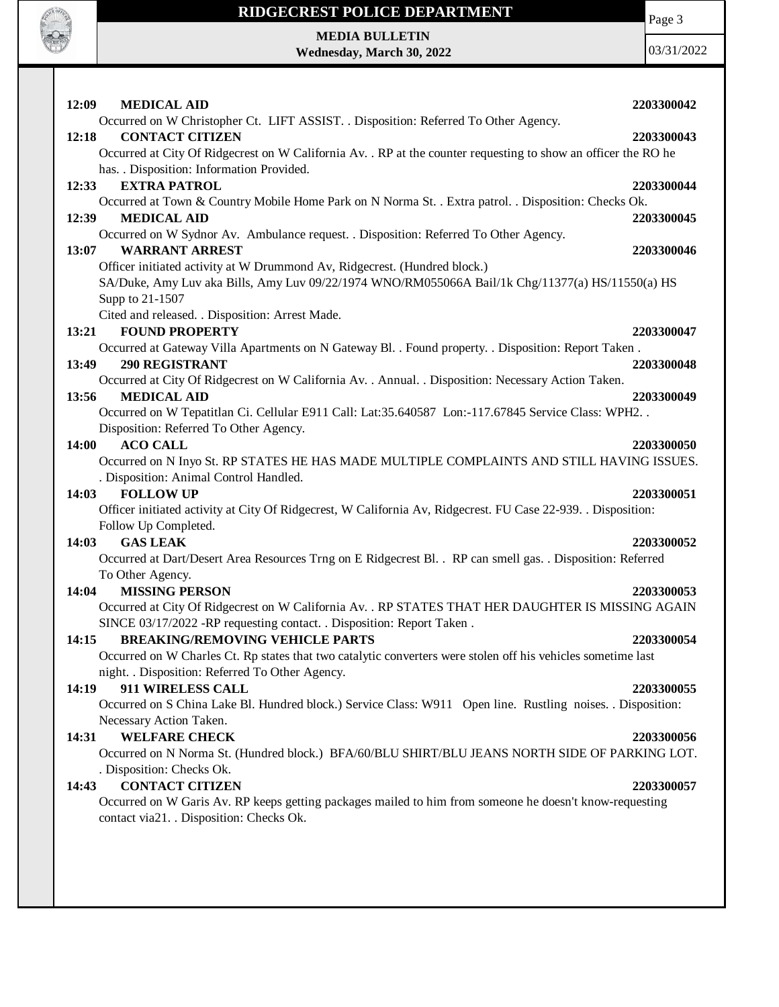

Page 3

**MEDIA BULLETIN Wednesday, March 30, 2022**

| 12:09<br><b>MEDICAL AID</b>                                                                                                        | 2203300042 |
|------------------------------------------------------------------------------------------------------------------------------------|------------|
| Occurred on W Christopher Ct. LIFT ASSIST. . Disposition: Referred To Other Agency.                                                |            |
| <b>CONTACT CITIZEN</b><br>12:18                                                                                                    | 2203300043 |
| Occurred at City Of Ridgecrest on W California Av. . RP at the counter requesting to show an officer the RO he                     |            |
| has. . Disposition: Information Provided.                                                                                          |            |
| <b>EXTRA PATROL</b><br>12:33                                                                                                       | 2203300044 |
| Occurred at Town & Country Mobile Home Park on N Norma St. . Extra patrol. . Disposition: Checks Ok.                               |            |
| 12:39<br><b>MEDICAL AID</b>                                                                                                        | 2203300045 |
| Occurred on W Sydnor Av. Ambulance request. . Disposition: Referred To Other Agency.                                               |            |
| <b>WARRANT ARREST</b><br>13:07                                                                                                     | 2203300046 |
| Officer initiated activity at W Drummond Av, Ridgecrest. (Hundred block.)                                                          |            |
| SA/Duke, Amy Luv aka Bills, Amy Luv 09/22/1974 WNO/RM055066A Bail/1k Chg/11377(a) HS/11550(a) HS                                   |            |
| Supp to 21-1507                                                                                                                    |            |
| Cited and released. . Disposition: Arrest Made.                                                                                    |            |
| <b>FOUND PROPERTY</b><br>13:21                                                                                                     | 2203300047 |
| Occurred at Gateway Villa Apartments on N Gateway Bl. . Found property. . Disposition: Report Taken.<br><b>290 REGISTRANT</b>      |            |
| 13:49                                                                                                                              | 2203300048 |
| Occurred at City Of Ridgecrest on W California Av. . Annual. . Disposition: Necessary Action Taken.<br><b>MEDICAL AID</b><br>13:56 | 2203300049 |
| Occurred on W Tepatitlan Ci. Cellular E911 Call: Lat:35.640587 Lon:-117.67845 Service Class: WPH2                                  |            |
| Disposition: Referred To Other Agency.                                                                                             |            |
| <b>ACO CALL</b><br><b>14:00</b>                                                                                                    | 2203300050 |
| Occurred on N Inyo St. RP STATES HE HAS MADE MULTIPLE COMPLAINTS AND STILL HAVING ISSUES.                                          |            |
| . Disposition: Animal Control Handled.                                                                                             |            |
| 14:03<br><b>FOLLOW UP</b>                                                                                                          | 2203300051 |
| Officer initiated activity at City Of Ridgecrest, W California Av, Ridgecrest. FU Case 22-939. . Disposition:                      |            |
| Follow Up Completed.                                                                                                               |            |
| <b>GAS LEAK</b><br>14:03                                                                                                           | 2203300052 |
| Occurred at Dart/Desert Area Resources Trng on E Ridgecrest Bl. . RP can smell gas. . Disposition: Referred                        |            |
| To Other Agency.                                                                                                                   |            |
| <b>MISSING PERSON</b><br>14:04                                                                                                     | 2203300053 |
| Occurred at City Of Ridgecrest on W California Av. . RP STATES THAT HER DAUGHTER IS MISSING AGAIN                                  |            |
| SINCE 03/17/2022 - RP requesting contact. . Disposition: Report Taken.                                                             |            |
| <b>BREAKING/REMOVING VEHICLE PARTS</b><br>14:15                                                                                    | 2203300054 |
| Occurred on W Charles Ct. Rp states that two catalytic converters were stolen off his vehicles sometime last                       |            |
| night. . Disposition: Referred To Other Agency.                                                                                    |            |
| 911 WIRELESS CALL<br>14:19                                                                                                         | 2203300055 |
| Occurred on S China Lake Bl. Hundred block.) Service Class: W911 Open line. Rustling noises. . Disposition:                        |            |
| Necessary Action Taken.                                                                                                            |            |
| 14:31<br><b>WELFARE CHECK</b>                                                                                                      | 2203300056 |
| Occurred on N Norma St. (Hundred block.) BFA/60/BLU SHIRT/BLU JEANS NORTH SIDE OF PARKING LOT.                                     |            |
| . Disposition: Checks Ok.                                                                                                          |            |
| <b>CONTACT CITIZEN</b><br>14:43                                                                                                    | 2203300057 |
| Occurred on W Garis Av. RP keeps getting packages mailed to him from someone he doesn't know-requesting                            |            |
| contact via21. . Disposition: Checks Ok.                                                                                           |            |
|                                                                                                                                    |            |
|                                                                                                                                    |            |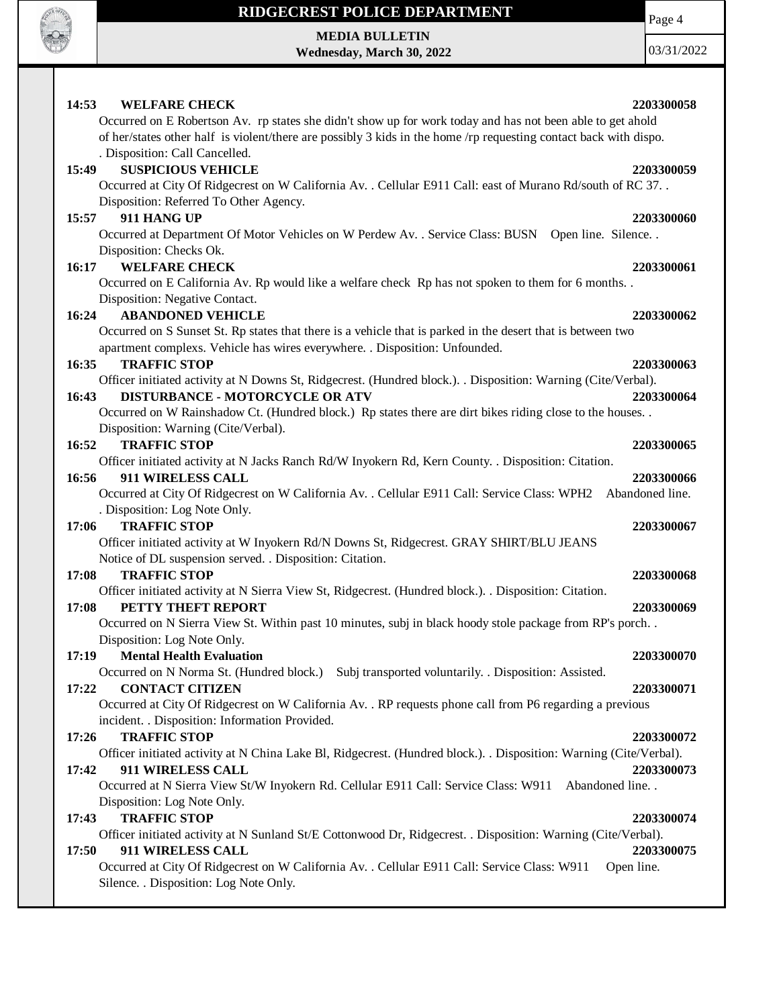

**MEDIA BULLETIN Wednesday, March 30, 2022** Page 4

| <b>WELFARE CHECK</b><br>2203300058<br>14:53                                                                       |
|-------------------------------------------------------------------------------------------------------------------|
| Occurred on E Robertson Av. rp states she didn't show up for work today and has not been able to get ahold        |
| of her/states other half is violent/there are possibly 3 kids in the home /rp requesting contact back with dispo. |
| . Disposition: Call Cancelled.                                                                                    |
| <b>SUSPICIOUS VEHICLE</b><br>15:49<br>2203300059                                                                  |
| Occurred at City Of Ridgecrest on W California Av. . Cellular E911 Call: east of Murano Rd/south of RC 37. .      |
| Disposition: Referred To Other Agency.                                                                            |
| 911 HANG UP<br>15:57<br>2203300060                                                                                |
| Occurred at Department Of Motor Vehicles on W Perdew Av. . Service Class: BUSN Open line. Silence. .              |
| Disposition: Checks Ok.                                                                                           |
| <b>WELFARE CHECK</b><br>2203300061<br>16:17                                                                       |
| Occurred on E California Av. Rp would like a welfare check Rp has not spoken to them for 6 months                 |
| Disposition: Negative Contact.                                                                                    |
| <b>ABANDONED VEHICLE</b><br>16:24<br>2203300062                                                                   |
| Occurred on S Sunset St. Rp states that there is a vehicle that is parked in the desert that is between two       |
| apartment complexs. Vehicle has wires everywhere. . Disposition: Unfounded.                                       |
| 16:35<br><b>TRAFFIC STOP</b><br>2203300063                                                                        |
| Officer initiated activity at N Downs St, Ridgecrest. (Hundred block.). . Disposition: Warning (Cite/Verbal).     |
| <b>DISTURBANCE - MOTORCYCLE OR ATV</b><br>16:43<br>2203300064                                                     |
| Occurred on W Rainshadow Ct. (Hundred block.) Rp states there are dirt bikes riding close to the houses           |
| Disposition: Warning (Cite/Verbal).                                                                               |
| 16:52<br><b>TRAFFIC STOP</b><br>2203300065                                                                        |
| Officer initiated activity at N Jacks Ranch Rd/W Inyokern Rd, Kern County. . Disposition: Citation.               |
| 16:56<br>911 WIRELESS CALL<br>2203300066                                                                          |
| Abandoned line.<br>Occurred at City Of Ridgecrest on W California Av. . Cellular E911 Call: Service Class: WPH2   |
| . Disposition: Log Note Only.                                                                                     |
| <b>TRAFFIC STOP</b><br>17:06<br>2203300067                                                                        |
| Officer initiated activity at W Inyokern Rd/N Downs St, Ridgecrest. GRAY SHIRT/BLU JEANS                          |
| Notice of DL suspension served. . Disposition: Citation.                                                          |
| <b>TRAFFIC STOP</b><br>17:08<br>2203300068                                                                        |
| Officer initiated activity at N Sierra View St, Ridgecrest. (Hundred block.). Disposition: Citation.              |
| 17:08<br>PETTY THEFT REPORT<br>2203300069                                                                         |
| Occurred on N Sierra View St. Within past 10 minutes, subj in black hoody stole package from RP's porch           |
| Disposition: Log Note Only.                                                                                       |
| 17:19<br>2203300070<br><b>Mental Health Evaluation</b>                                                            |
| Occurred on N Norma St. (Hundred block.) Subj transported voluntarily. . Disposition: Assisted.                   |
| <b>CONTACT CITIZEN</b><br>17:22<br>2203300071                                                                     |
| Occurred at City Of Ridgecrest on W California Av. . RP requests phone call from P6 regarding a previous          |
| incident. . Disposition: Information Provided.                                                                    |
| <b>TRAFFIC STOP</b><br>17:26<br>2203300072                                                                        |
| Officer initiated activity at N China Lake Bl, Ridgecrest. (Hundred block.). Disposition: Warning (Cite/Verbal).  |
| 17:42<br>911 WIRELESS CALL<br>2203300073                                                                          |
| Occurred at N Sierra View St/W Inyokern Rd. Cellular E911 Call: Service Class: W911<br>Abandoned line. .          |
| Disposition: Log Note Only.                                                                                       |
| <b>TRAFFIC STOP</b><br>17:43<br>2203300074                                                                        |
| Officer initiated activity at N Sunland St/E Cottonwood Dr, Ridgecrest. . Disposition: Warning (Cite/Verbal).     |
| 17:50<br>911 WIRELESS CALL<br>2203300075                                                                          |
| Occurred at City Of Ridgecrest on W California Av. . Cellular E911 Call: Service Class: W911<br>Open line.        |
| Silence. . Disposition: Log Note Only.                                                                            |
|                                                                                                                   |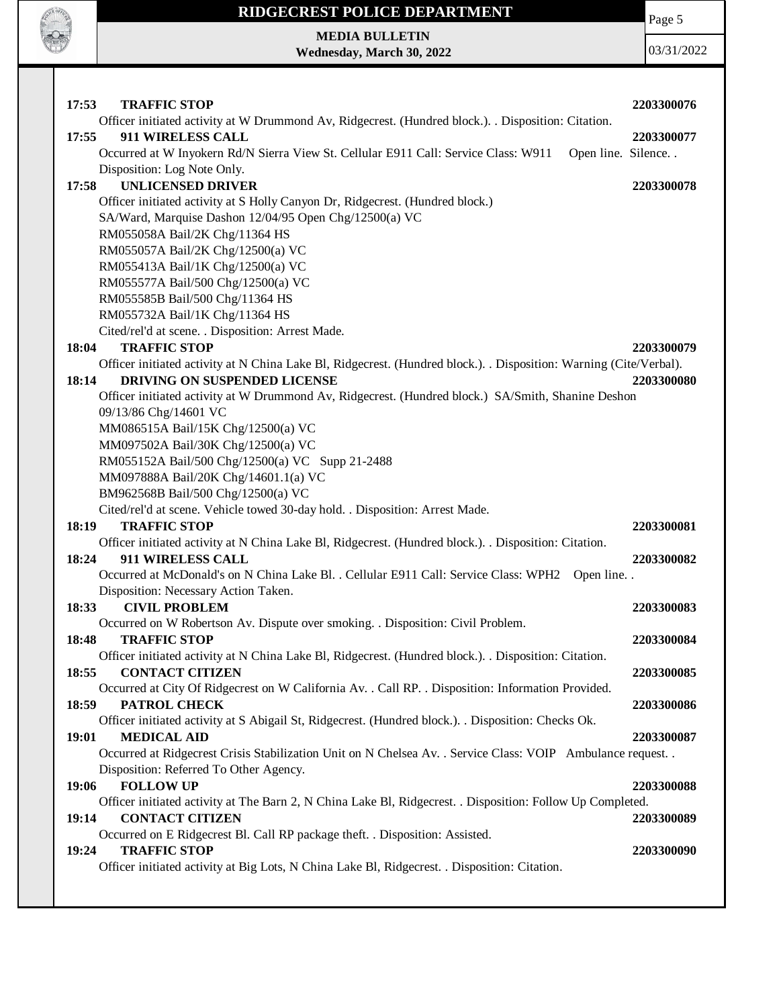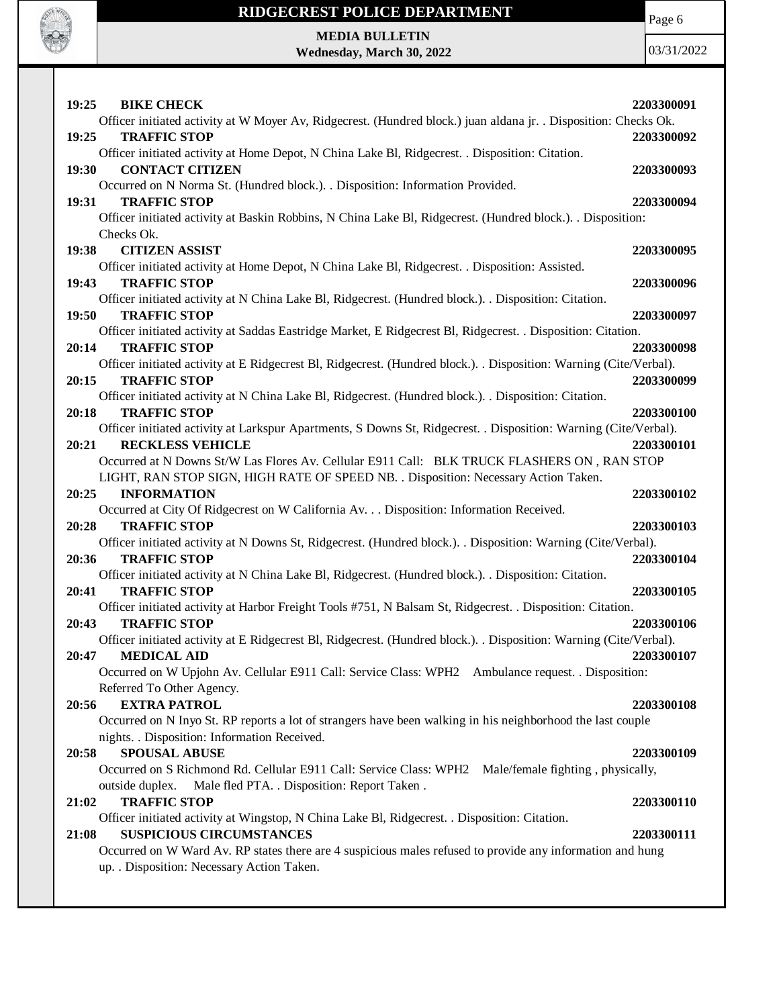

# **RIDGECREST POLICE DEPARTMENT MEDIA BULLETIN**

**Wednesday, March 30, 2022**

Page 6

| 19:25<br><b>BIKE CHECK</b>                                                                                                                    | 2203300091 |
|-----------------------------------------------------------------------------------------------------------------------------------------------|------------|
| Officer initiated activity at W Moyer Av, Ridgecrest. (Hundred block.) juan aldana jr. . Disposition: Checks Ok.                              |            |
| 19:25<br><b>TRAFFIC STOP</b>                                                                                                                  | 2203300092 |
| Officer initiated activity at Home Depot, N China Lake Bl, Ridgecrest. . Disposition: Citation.                                               |            |
| <b>CONTACT CITIZEN</b><br>19:30                                                                                                               | 2203300093 |
| Occurred on N Norma St. (Hundred block.). . Disposition: Information Provided.                                                                |            |
| 19:31<br><b>TRAFFIC STOP</b>                                                                                                                  | 2203300094 |
| Officer initiated activity at Baskin Robbins, N China Lake Bl, Ridgecrest. (Hundred block.). . Disposition:                                   |            |
| Checks Ok.                                                                                                                                    |            |
| <b>CITIZEN ASSIST</b><br>19:38                                                                                                                | 2203300095 |
| Officer initiated activity at Home Depot, N China Lake Bl, Ridgecrest. . Disposition: Assisted.                                               |            |
| <b>TRAFFIC STOP</b><br>19:43                                                                                                                  | 2203300096 |
| Officer initiated activity at N China Lake Bl, Ridgecrest. (Hundred block.). . Disposition: Citation.                                         |            |
| 19:50<br><b>TRAFFIC STOP</b>                                                                                                                  | 2203300097 |
| Officer initiated activity at Saddas Eastridge Market, E Ridgecrest Bl, Ridgecrest. . Disposition: Citation.                                  |            |
| 20:14<br><b>TRAFFIC STOP</b>                                                                                                                  | 2203300098 |
| Officer initiated activity at E Ridgecrest Bl, Ridgecrest. (Hundred block.). Disposition: Warning (Cite/Verbal).                              |            |
| 20:15<br><b>TRAFFIC STOP</b>                                                                                                                  | 2203300099 |
| Officer initiated activity at N China Lake Bl, Ridgecrest. (Hundred block.). Disposition: Citation.                                           |            |
| 20:18<br><b>TRAFFIC STOP</b>                                                                                                                  | 2203300100 |
| Officer initiated activity at Larkspur Apartments, S Downs St, Ridgecrest. . Disposition: Warning (Cite/Verbal).                              |            |
| 20:21<br><b>RECKLESS VEHICLE</b>                                                                                                              | 2203300101 |
| Occurred at N Downs St/W Las Flores Av. Cellular E911 Call: BLK TRUCK FLASHERS ON, RAN STOP                                                   |            |
| LIGHT, RAN STOP SIGN, HIGH RATE OF SPEED NB. . Disposition: Necessary Action Taken.                                                           |            |
| <b>INFORMATION</b><br>20:25                                                                                                                   | 2203300102 |
| Occurred at City Of Ridgecrest on W California Av. Disposition: Information Received.                                                         |            |
| 20:28<br><b>TRAFFIC STOP</b><br>Officer initiated activity at N Downs St, Ridgecrest. (Hundred block.). . Disposition: Warning (Cite/Verbal). | 2203300103 |
| <b>TRAFFIC STOP</b><br>20:36                                                                                                                  | 2203300104 |
| Officer initiated activity at N China Lake Bl, Ridgecrest. (Hundred block.). . Disposition: Citation.                                         |            |
| 20:41<br><b>TRAFFIC STOP</b>                                                                                                                  | 2203300105 |
| Officer initiated activity at Harbor Freight Tools #751, N Balsam St, Ridgecrest. . Disposition: Citation.                                    |            |
| <b>TRAFFIC STOP</b><br>20:43                                                                                                                  | 2203300106 |
| Officer initiated activity at E Ridgecrest Bl, Ridgecrest. (Hundred block.). Disposition: Warning (Cite/Verbal).                              |            |
| 20:47<br><b>MEDICAL AID</b>                                                                                                                   | 2203300107 |
| Occurred on W Upjohn Av. Cellular E911 Call: Service Class: WPH2 Ambulance request. . Disposition:                                            |            |
| Referred To Other Agency.                                                                                                                     |            |
| <b>EXTRA PATROL</b><br>20:56                                                                                                                  | 2203300108 |
| Occurred on N Inyo St. RP reports a lot of strangers have been walking in his neighborhood the last couple                                    |            |
| nights. . Disposition: Information Received.                                                                                                  |            |
| <b>SPOUSAL ABUSE</b><br>20:58                                                                                                                 | 2203300109 |
| Occurred on S Richmond Rd. Cellular E911 Call: Service Class: WPH2 Male/female fighting, physically,                                          |            |
| Male fled PTA. . Disposition: Report Taken.<br>outside duplex.                                                                                |            |
| 21:02<br><b>TRAFFIC STOP</b>                                                                                                                  | 2203300110 |
| Officer initiated activity at Wingstop, N China Lake Bl, Ridgecrest. . Disposition: Citation.                                                 |            |
| 21:08<br><b>SUSPICIOUS CIRCUMSTANCES</b>                                                                                                      | 2203300111 |
| Occurred on W Ward Av. RP states there are 4 suspicious males refused to provide any information and hung                                     |            |
| up. . Disposition: Necessary Action Taken.                                                                                                    |            |
|                                                                                                                                               |            |